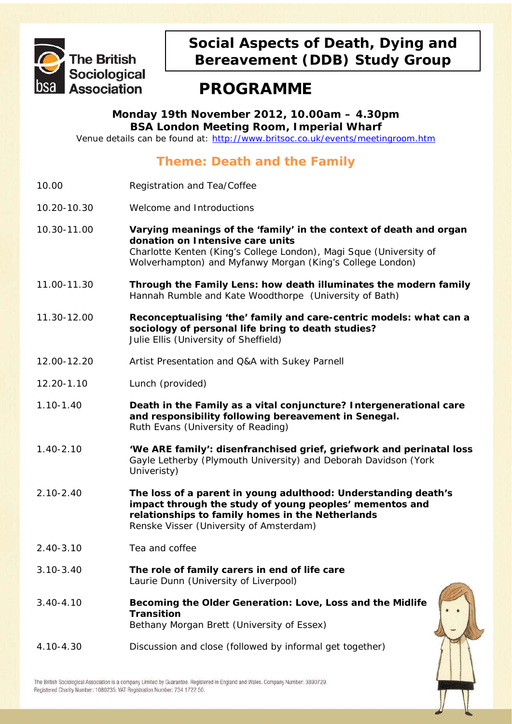

## **Social Aspects of Death, Dying and Bereavement (DDB) Study Group**

# **PROGRAMME**

**Monday 19th November 2012, 10.00am – 4.30pm BSA London Meeting Room, Imperial Wharf**

Venue details can be found at:<http://www.britsoc.co.uk/events/meetingroom.htm>

## **Theme: Death and the Family**

- 10.00 Registration and Tea/Coffee
- 10.20-10.30 Welcome and Introductions
- 10.30-11.00 **Varying meanings of the 'family' in the context of death and organ donation on Intensive care units** *Charlotte Kenten (King's College London), Magi Sque (University of Wolverhampton) and Myfanwy Morgan (King's College London)*
- 11.00-11.30 **Through the Family Lens: how death illuminates the modern family** *Hannah Rumble and Kate Woodthorpe (University of Bath)*
- 11.30-12.00 **Reconceptualising 'the' family and care-centric models: what can a sociology of personal life bring to death studies?**  *Julie Ellis (University of Sheffield)*
- 12.00-12.20 Artist Presentation and Q&A with Sukey Parnell
- 12.20-1.10 Lunch (provided)
- 1.10-1.40 **Death in the Family as a vital conjuncture? Intergenerational care and responsibility following bereavement in Senegal.** *Ruth Evans (University of Reading)*
- 1.40-2.10 **'We ARE family': disenfranchised grief, griefwork and perinatal loss** *Gayle Letherby (Plymouth University) and Deborah Davidson (York Univeristy)*
- 2.10-2.40 **The loss of a parent in young adulthood: Understanding death's impact through the study of young peoples' mementos and relationships to family homes in the Netherlands**  *Renske Visser (University of Amsterdam)*
- 2.40-3.10 Tea and coffee
- 3.10-3.40 **The role of family carers in end of life care** *Laurie Dunn (University of Liverpool)*
- 3.40-4.10 **Becoming the Older Generation: Love, Loss and the Midlife Transition** *Bethany Morgan Brett (University of Essex)*
- 4.10-4.30 Discussion and close (followed by informal get together)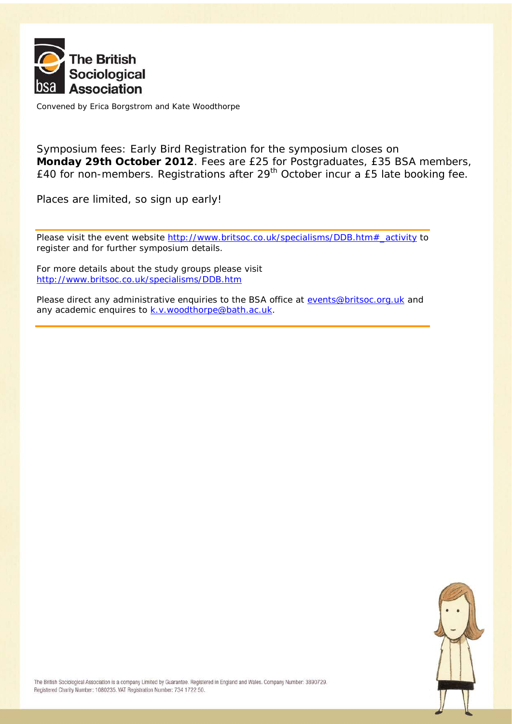

Convened by Erica Borgstrom and Kate Woodthorpe

Symposium fees: Early Bird Registration for the symposium closes on **Monday 29th October 2012**. Fees are £25 for Postgraduates, £35 BSA members, £40 for non-members. Registrations after 29<sup>th</sup> October incur a £5 late booking fee.

Places are limited, so sign up early!

Please visit the event website [http://www.britsoc.co.uk/specialisms/DDB.htm#\\_activity](http://www.britsoc.co.uk/specialisms/DDB.htm#_activity) to register and for further symposium details.

For more details about the study groups please visit <http://www.britsoc.co.uk/specialisms/DDB.htm>

Please direct any administrative enquiries to the BSA office at [events@britsoc.org.uk](mailto:events@britsoc.org.uk) and any academic enquires to [k.v.woodthorpe@bath.ac.uk.](mailto:k.v.woodthorpe@bath.ac.uk)

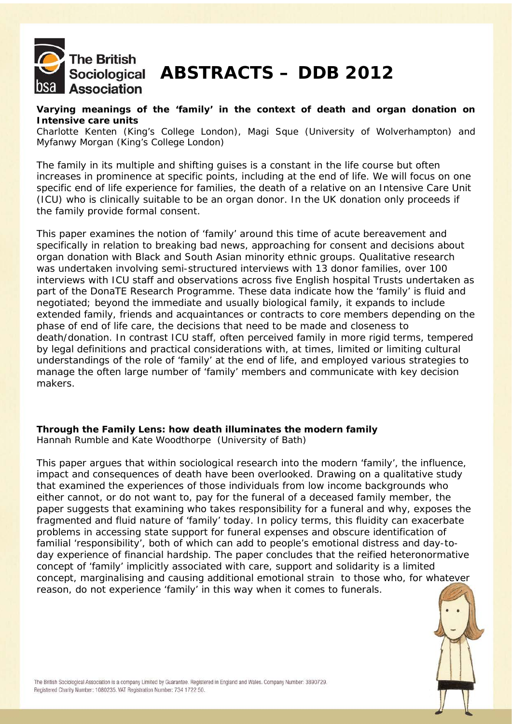

# Sociological **ABSTRACTS – DDB 2012**

#### **Varying meanings of the 'family' in the context of death and organ donation on Intensive care units**

*Charlotte Kenten (King's College London), Magi Sque (University of Wolverhampton) and Myfanwy Morgan (King's College London)*

The family in its multiple and shifting guises is a constant in the life course but often increases in prominence at specific points, including at the end of life. We will focus on one specific end of life experience for families, the death of a relative on an Intensive Care Unit (ICU) who is clinically suitable to be an organ donor. In the UK donation only proceeds if the family provide formal consent.

This paper examines the notion of 'family' around this time of acute bereavement and specifically in relation to breaking bad news, approaching for consent and decisions about organ donation with Black and South Asian minority ethnic groups. Qualitative research was undertaken involving semi-structured interviews with 13 donor families, over 100 interviews with ICU staff and observations across five English hospital Trusts undertaken as part of the DonaTE Research Programme. These data indicate how the 'family' is fluid and negotiated; beyond the immediate and usually biological family, it expands to include extended family, friends and acquaintances or contracts to core members depending on the phase of end of life care, the decisions that need to be made and closeness to death/donation. In contrast ICU staff, often perceived family in more rigid terms, tempered by legal definitions and practical considerations with, at times, limited or limiting cultural understandings of the role of 'family' at the end of life, and employed various strategies to manage the often large number of 'family' members and communicate with key decision makers.

## **Through the Family Lens: how death illuminates the modern family**

*Hannah Rumble and Kate Woodthorpe (University of Bath)*

This paper argues that within sociological research into the modern 'family', the influence, impact and consequences of death have been overlooked. Drawing on a qualitative study that examined the experiences of those individuals from low income backgrounds who either cannot, or do not want to, pay for the funeral of a deceased family member, the paper suggests that examining who takes responsibility for a funeral and why, exposes the fragmented and fluid nature of 'family' today. In policy terms, this fluidity can exacerbate problems in accessing state support for funeral expenses and obscure identification of familial 'responsibility', both of which can add to people's emotional distress and day-today experience of financial hardship. The paper concludes that the reified heteronormative concept of 'family' implicitly associated with care, support and solidarity is a limited concept, marginalising and causing additional emotional strain to those who, for whatever reason, do not experience 'family' in this way when it comes to funerals.

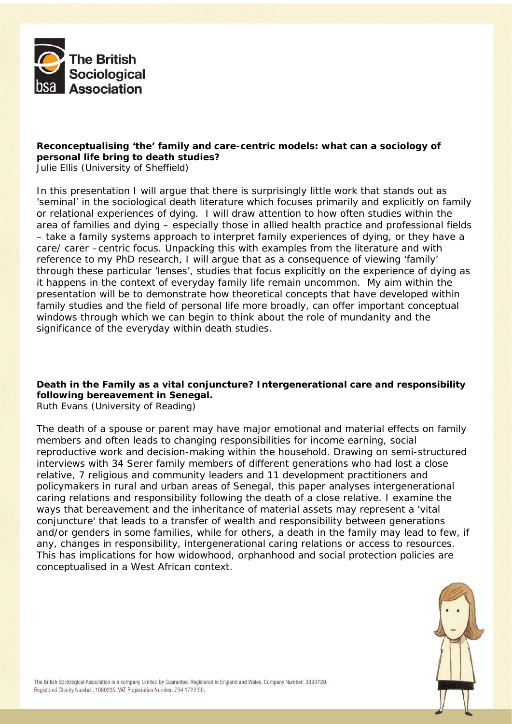

## **Reconceptualising 'the' family and care-centric models: what can a sociology of personal life bring to death studies?**

*Julie Ellis (University of Sheffield)*

In this presentation I will argue that there is surprisingly little work that stands out as 'seminal' in the sociological death literature which focuses primarily and explicitly on family or relational experiences of dying. I will draw attention to how often studies within the area of families and dying – especially those in allied health practice and professional fields – take a family systems approach to interpret family experiences of dying, or they have a care/ carer –centric focus. Unpacking this with examples from the literature and with reference to my PhD research, I will argue that as a consequence of viewing 'family' through these particular 'lenses', studies that focus explicitly on the experience of dying as it happens in the context of everyday family life remain uncommon. My aim within the presentation will be to demonstrate how theoretical concepts that have developed within family studies and the field of personal life more broadly, can offer important conceptual windows through which we can begin to think about the role of mundanity and the significance of the everyday within death studies.

## **Death in the Family as a vital conjuncture? Intergenerational care and responsibility following bereavement in Senegal.**

*Ruth Evans (University of Reading)*

The death of a spouse or parent may have major emotional and material effects on family members and often leads to changing responsibilities for income earning, social reproductive work and decision-making within the household. Drawing on semi-structured interviews with 34 Serer family members of different generations who had lost a close relative, 7 religious and community leaders and 11 development practitioners and policymakers in rural and urban areas of Senegal, this paper analyses intergenerational caring relations and responsibility following the death of a close relative. I examine the ways that bereavement and the inheritance of material assets may represent a 'vital conjuncture' that leads to a transfer of wealth and responsibility between generations and/or genders in some families, while for others, a death in the family may lead to few, if any, changes in responsibility, intergenerational caring relations or access to resources. This has implications for how widowhood, orphanhood and social protection policies are conceptualised in a West African context.

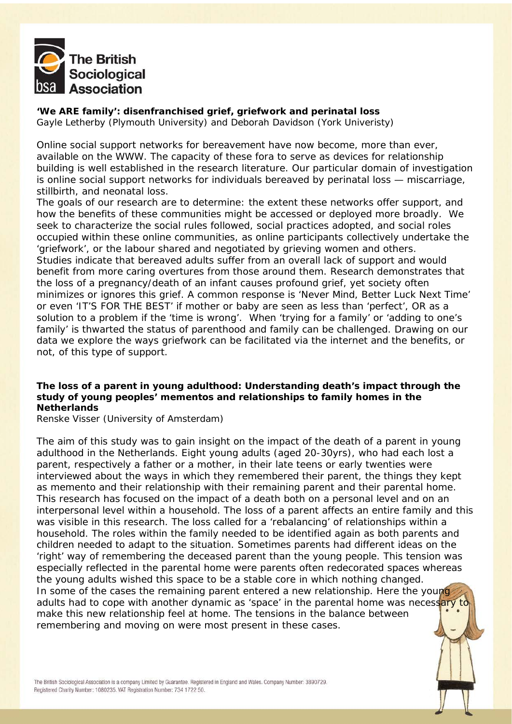

**'We ARE family': disenfranchised grief, griefwork and perinatal loss** *Gayle Letherby (Plymouth University) and Deborah Davidson (York Univeristy)*

Online social support networks for bereavement have now become, more than ever, available on the WWW. The capacity of these fora to serve as devices for relationship building is well established in the research literature. Our particular domain of investigation is online social support networks for individuals bereaved by perinatal loss — miscarriage, stillbirth, and neonatal loss.

The goals of our research are to determine: the extent these networks offer support, and how the benefits of these communities might be accessed or deployed more broadly. We seek to characterize the social rules followed, social practices adopted, and social roles occupied within these online communities, as online participants collectively undertake the 'griefwork', or the labour shared and negotiated by grieving women and others. Studies indicate that bereaved adults suffer from an overall lack of support and would benefit from more caring overtures from those around them. Research demonstrates that the loss of a pregnancy/death of an infant causes profound grief, yet society often minimizes or ignores this grief. A common response is 'Never Mind, Better Luck Next Time' or even 'IT'S FOR THE BEST' if mother or baby are seen as less than 'perfect', OR as a solution to a problem if the 'time is wrong'. When 'trying for a family' or 'adding to one's family' is thwarted the status of parenthood and family can be challenged. Drawing on our data we explore the ways griefwork can be facilitated via the internet and the benefits, or not, of this type of support.

#### **The loss of a parent in young adulthood: Understanding death's impact through the study of young peoples' mementos and relationships to family homes in the Netherlands**

*Renske Visser (University of Amsterdam)*

The aim of this study was to gain insight on the impact of the death of a parent in young adulthood in the Netherlands. Eight young adults (aged 20-30yrs), who had each lost a parent, respectively a father or a mother, in their late teens or early twenties were interviewed about the ways in which they remembered their parent, the things they kept as memento and their relationship with their remaining parent and their parental home. This research has focused on the impact of a death both on a personal level and on an interpersonal level within a household. The loss of a parent affects an entire family and this was visible in this research. The loss called for a 'rebalancing' of relationships within a household. The roles within the family needed to be identified again as both parents and children needed to adapt to the situation. Sometimes parents had different ideas on the 'right' way of remembering the deceased parent than the young people. This tension was especially reflected in the parental home were parents often redecorated spaces whereas the young adults wished this space to be a stable core in which nothing changed. In some of the cases the remaining parent entered a new relationship. Here the young adults had to cope with another dynamic as 'space' in the parental home was necessary to make this new relationship feel at home. The tensions in the balance between remembering and moving on were most present in these cases.